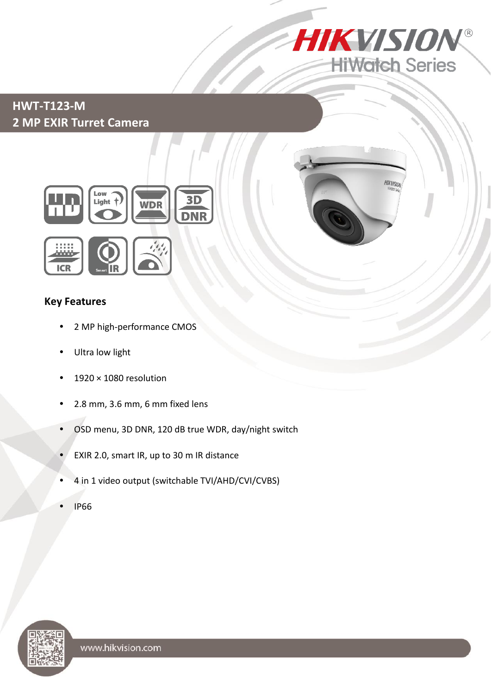

## **HWT-T123-M 2 MP EXIR Turret Camera**



### **Key Features**

**ICR** 

- 2 MP high-performance CMOS
- Ultra low light

Low<br>Light †

- 1920 × 1080 resolution
- 2.8 mm, 3.6 mm, 6 mm fixed lens
- OSD menu, 3D DNR, 120 dB true WDR, day/night switch

 $3D$ 

**WDR** 

- EXIR 2.0, smart IR, up to 30 m IR distance
- 4 in 1 video output (switchable TVI/AHD/CVI/CVBS)
- IP66

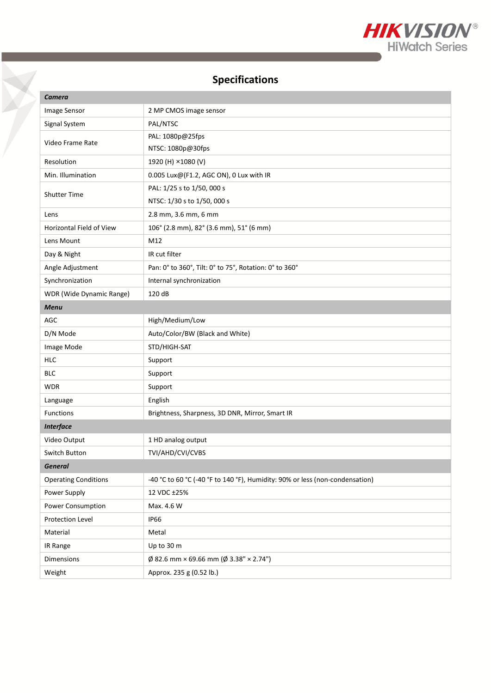

# **Specifications**

| Camera                      |                                                                              |
|-----------------------------|------------------------------------------------------------------------------|
| Image Sensor                | 2 MP CMOS image sensor                                                       |
| Signal System               | PAL/NTSC                                                                     |
| Video Frame Rate            | PAL: 1080p@25fps                                                             |
|                             | NTSC: 1080p@30fps                                                            |
| Resolution                  | 1920 (H) ×1080 (V)                                                           |
| Min. Illumination           | 0.005 Lux@(F1.2, AGC ON), 0 Lux with IR                                      |
| <b>Shutter Time</b>         | PAL: 1/25 s to 1/50, 000 s                                                   |
|                             | NTSC: 1/30 s to 1/50, 000 s                                                  |
| Lens                        | 2.8 mm, 3.6 mm, 6 mm                                                         |
| Horizontal Field of View    | 106° (2.8 mm), 82° (3.6 mm), 51° (6 mm)                                      |
| Lens Mount                  | M12                                                                          |
| Day & Night                 | IR cut filter                                                                |
| Angle Adjustment            | Pan: 0° to 360°, Tilt: 0° to 75°, Rotation: 0° to 360°                       |
| Synchronization             | Internal synchronization                                                     |
| WDR (Wide Dynamic Range)    | 120 dB                                                                       |
| <b>Menu</b>                 |                                                                              |
| <b>AGC</b>                  | High/Medium/Low                                                              |
| D/N Mode                    | Auto/Color/BW (Black and White)                                              |
| Image Mode                  | STD/HIGH-SAT                                                                 |
| <b>HLC</b>                  | Support                                                                      |
| <b>BLC</b>                  | Support                                                                      |
| <b>WDR</b>                  | Support                                                                      |
| Language                    | English                                                                      |
| Functions                   | Brightness, Sharpness, 3D DNR, Mirror, Smart IR                              |
| <b>Interface</b>            |                                                                              |
| Video Output                | 1 HD analog output                                                           |
| Switch Button               | TVI/AHD/CVI/CVBS                                                             |
| <b>General</b>              |                                                                              |
| <b>Operating Conditions</b> | -40 °C to 60 °C (-40 °F to 140 °F), Humidity: 90% or less (non-condensation) |
| Power Supply                | 12 VDC ±25%                                                                  |
| Power Consumption           | Max. 4.6 W                                                                   |
| Protection Level            | <b>IP66</b>                                                                  |
| Material                    | Metal                                                                        |
| IR Range                    | Up to 30 m                                                                   |
| Dimensions                  | $\emptyset$ 82.6 mm × 69.66 mm ( $\emptyset$ 3.38" × 2.74")                  |
| Weight                      | Approx. 235 g (0.52 lb.)                                                     |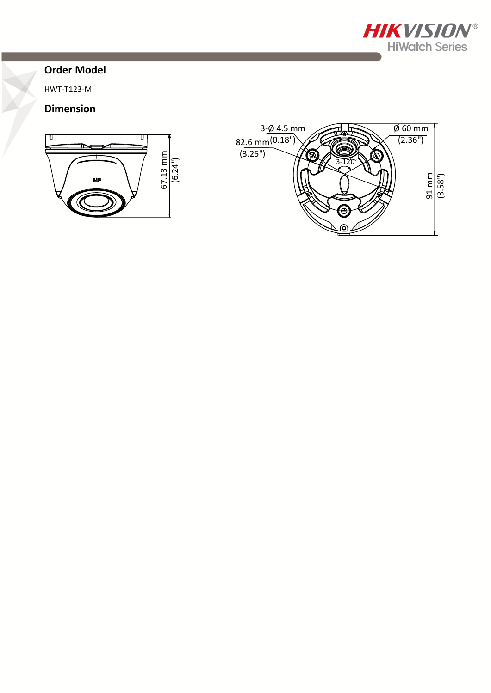

#### **Order Model**

HWT-T123-M

#### **Dimension**